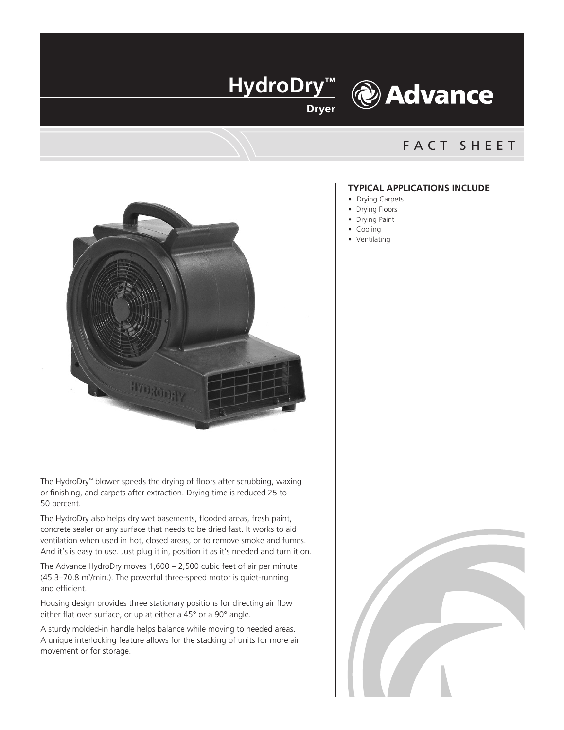

# **& Advance**

### FACT SHEET



The HydroDry™ blower speeds the drying of floors after scrubbing, waxing or finishing, and carpets after extraction. Drying time is reduced 25 to 50 percent.

The HydroDry also helps dry wet basements, flooded areas, fresh paint, concrete sealer or any surface that needs to be dried fast. It works to aid ventilation when used in hot, closed areas, or to remove smoke and fumes. And it's is easy to use. Just plug it in, position it as it's needed and turn it on.

The Advance HydroDry moves 1,600 – 2,500 cubic feet of air per minute (45.3–70.8 m<sup>3</sup>/min.). The powerful three-speed motor is quiet-running and efficient.

Housing design provides three stationary positions for directing air flow either flat over surface, or up at either a 45° or a 90° angle.

A sturdy molded-in handle helps balance while moving to needed areas. A unique interlocking feature allows for the stacking of units for more air movement or for storage.

#### **TYPICAL APPLICATIONS INCLUDE**

- Drying Carpets
- Drying Floors
- Drying Paint
- Cooling
- Ventilating